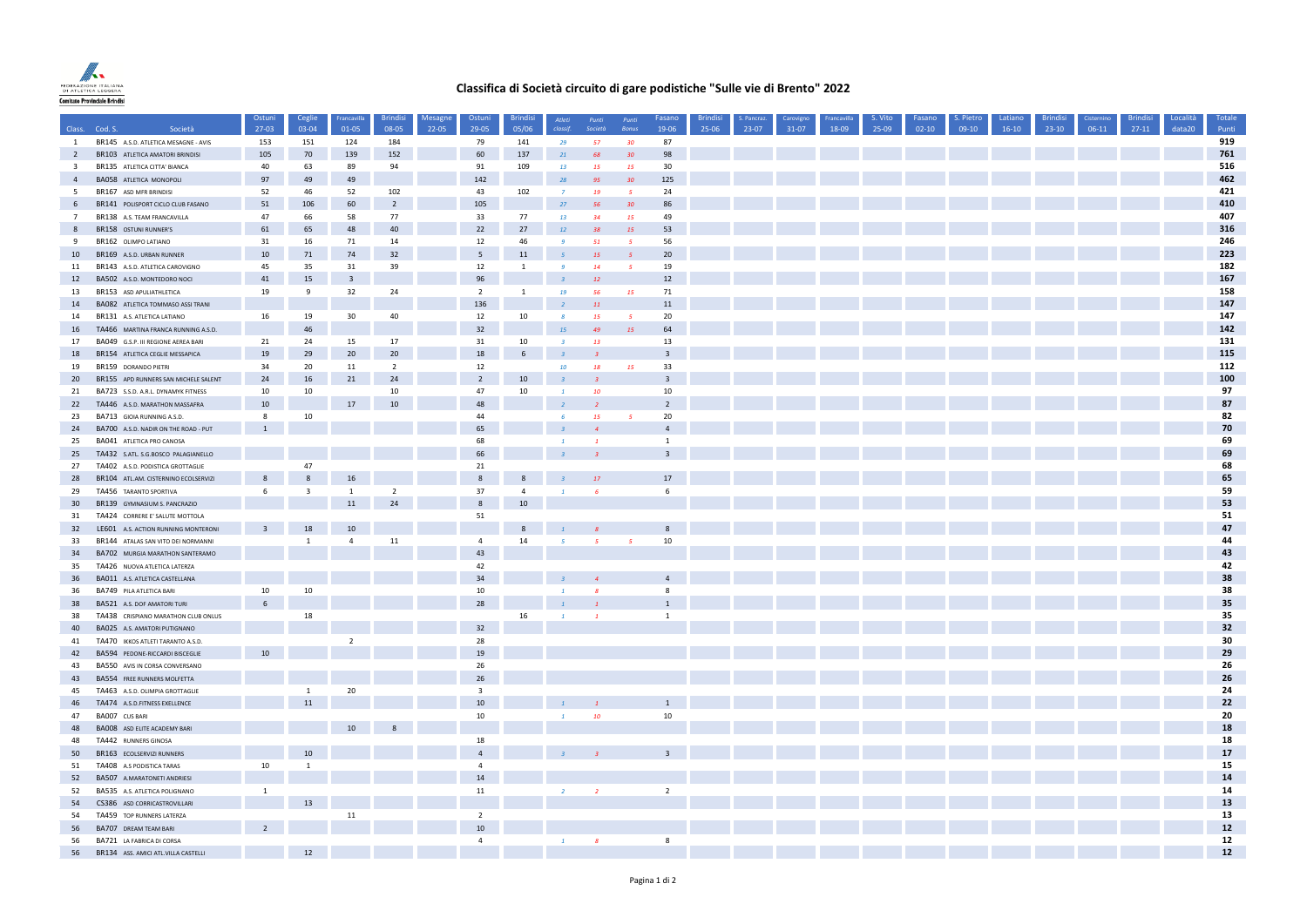

## **Classifica di Società circuito di gare podistiche "Sulle vie di Brento" 2022**

|                                           |                                                                    | Ostuni                             | Ceglie           | Francavilla             | <b>Brindisi</b> | Mesagne | Ostuni                  | <b>Brindis</b>  | Atleti                  | Punti          | Punti                 | Fasano                        | <b>Brindisi</b> | S. Pancraz | Carovigno | rancavilla | S. Vito | Fasano    | S. Pietro | Latiano   | <b>Brindis</b> | Cisterning | <b>Brindisi</b> | Località | Totale     |
|-------------------------------------------|--------------------------------------------------------------------|------------------------------------|------------------|-------------------------|-----------------|---------|-------------------------|-----------------|-------------------------|----------------|-----------------------|-------------------------------|-----------------|------------|-----------|------------|---------|-----------|-----------|-----------|----------------|------------|-----------------|----------|------------|
| Class.                                    | Cod. S.<br>Società                                                 | 27-03                              | 03-04            | $01 - 05$               | 08-05           | 22-05   | 29-05                   | 05/06           |                         | Società        | Bonu                  | 19-06                         | 25-06           | 23-07      | 31-07     | 18-09      | 25-09   | $02 - 10$ | $09-10$   | $16 - 10$ | $23-10$        | $06-11$    | $27-11$         | data20   | Punti      |
| 1                                         | BR145 A.S.D. ATLETICA MESAGNE - AVIS                               | 153                                | 151              | 124                     | 184             |         | 79                      | 141             | 29                      | 57             | 30 <sub>2</sub>       | 87                            |                 |            |           |            |         |           |           |           |                |            |                 |          | 919<br>761 |
| $\overline{2}$<br>$\overline{\mathbf{3}}$ | BR103 ATLETICA AMATORI BRINDISI                                    | 105<br>40                          | 70<br>63         | 139<br>89               | 152<br>94       |         | 60<br>91                | 137<br>109      | 21<br>13                | 68<br>15       | 30 <sub>2</sub><br>15 | 98<br>30                      |                 |            |           |            |         |           |           |           |                |            |                 |          | 516        |
| $\overline{4}$                            | BR135 ATLETICA CITTA' BIANCA<br>BA058 ATLETICA MONOPOLI            | 97                                 | 49               | 49                      |                 |         | 142                     |                 | 28                      | 95             | 30                    | 125                           |                 |            |           |            |         |           |           |           |                |            |                 |          | 462        |
| -5                                        | BR167 ASD MFR BRINDISI                                             | 52                                 | 46               | 52                      | 102             |         | 43                      | 102             | $\overline{7}$          | 19             | 5 <sup>7</sup>        | 24                            |                 |            |           |            |         |           |           |           |                |            |                 |          | 421        |
| 6                                         | BR141 POLISPORT CICLO CLUB FASANO                                  | 51                                 | 106              | 60                      | $\overline{2}$  |         | 105                     |                 | 27                      | 56             | 30                    | 86                            |                 |            |           |            |         |           |           |           |                |            |                 |          | 410        |
| $\overline{7}$                            | BR138 A.S. TEAM FRANCAVILLA                                        | 47                                 | 66               | 58                      | 77              |         | 33                      | 77              | 13                      | 34             | 15                    | 49                            |                 |            |           |            |         |           |           |           |                |            |                 |          | 407        |
|                                           | BR158 OSTUNI RUNNER'S                                              | 61                                 | 65               | 48                      | 40              |         | 22                      | 27              | $12\,$                  | 38             | 15                    | 53                            |                 |            |           |            |         |           |           |           |                |            |                 |          | 316        |
| -9                                        | BR162 OLIMPO LATIANO                                               | 31                                 | 16               | 71                      | $14\,$          |         | 12                      | 46              | $\cdot$                 | 51             | 5 <sub>1</sub>        | 56                            |                 |            |           |            |         |           |           |           |                |            |                 |          | 246        |
| 10                                        | BR169 A.S.D. URBAN RUNNER                                          | 10                                 | $71\,$           | 74                      | 32              |         | 5                       | 11              |                         | 15             | 5 <sup>1</sup>        | 20                            |                 |            |           |            |         |           |           |           |                |            |                 |          | 223        |
| 11                                        | BR143 A.S.D. ATLETICA CAROVIGNO                                    | 45                                 | 35               | 31                      | 39              |         | 12                      | <sup>1</sup>    | $\mathbf{q}$            | 14             | 5 <sub>1</sub>        | 19                            |                 |            |           |            |         |           |           |           |                |            |                 |          | 182        |
| 12                                        | BA502 A.S.D. MONTEDORO NOCI                                        | 41                                 | 15               | $\overline{\mathbf{3}}$ |                 |         | 96                      |                 |                         | 12             |                       | $12$                          |                 |            |           |            |         |           |           |           |                |            |                 |          | 167        |
| 13                                        | BR153 ASD APULIATHLETICA                                           | 19                                 | 9                | 32                      | 24              |         | $\overline{2}$          | $\mathbf{1}$    | 19                      | 56             | <b>15</b>             | 71                            |                 |            |           |            |         |           |           |           |                |            |                 |          | 158        |
| 14                                        | BA082 ATLETICA TOMMASO ASSI TRANI                                  |                                    |                  |                         |                 |         | 136                     |                 |                         | $11\,$         |                       | 11                            |                 |            |           |            |         |           |           |           |                |            |                 |          | 147        |
| 14                                        | BR131 A.S. ATLETICA LATIANO                                        | 16                                 | 19               | 30                      | 40              |         | 12                      | 10              |                         | 15             | $\sqrt{5}$            | 20                            |                 |            |           |            |         |           |           |           |                |            |                 |          | 147        |
| 16                                        | TA466 MARTINA FRANCA RUNNING A.S.D.                                |                                    | 46               |                         |                 |         | 32                      |                 | <b>15</b>               | 49             | 15                    | 64                            |                 |            |           |            |         |           |           |           |                |            |                 |          | 142<br>131 |
| 17                                        | BA049 G.S.P. III REGIONE AEREA BARI                                | 21                                 | 24               | 15<br>20                | $17\,$<br>20    |         | 31<br>18                | 10              | $\overline{\mathbf{z}}$ | 13             |                       | 13<br>$\overline{\mathbf{3}}$ |                 |            |           |            |         |           |           |           |                |            |                 |          | 115        |
| 18<br>19                                  | BR154 ATLETICA CEGLIE MESSAPICA<br>BR159 DORANDO PIETRI            | 19<br>34                           | 29<br>20         | 11                      | $\overline{2}$  |         | 12                      | $6\phantom{.}6$ | 10 <sup>10</sup>        | 18             | 15                    | 33                            |                 |            |           |            |         |           |           |           |                |            |                 |          | 112        |
| 20 <sub>2</sub>                           | BR155 APD RUNNERS SAN MICHELE SALENT                               | 24                                 | 16               | 21                      | 24              |         | $\overline{2}$          | 10              |                         |                |                       | $\overline{\mathbf{3}}$       |                 |            |           |            |         |           |           |           |                |            |                 |          | 100        |
| 21                                        | BA723 S.S.D. A.R.L. DYNAMYK FITNESS                                | 10                                 | 10               |                         | 10              |         | 47                      | 10              |                         | -10            |                       | 10                            |                 |            |           |            |         |           |           |           |                |            |                 |          | 97         |
| 22                                        | TA446 A.S.D. MARATHON MASSAFRA                                     | $10\,$                             |                  | 17                      | $10\,$          |         | 48                      |                 |                         |                |                       | $\overline{2}$                |                 |            |           |            |         |           |           |           |                |            |                 |          | 87         |
| 23                                        | BA713 GIOIA RUNNING A.S.D.                                         | 8                                  | 10               |                         |                 |         | 44                      |                 |                         | 15             | 5 <sup>1</sup>        | 20                            |                 |            |           |            |         |           |           |           |                |            |                 |          | 82         |
| 24                                        | BA700 A.S.D. NADIR ON THE ROAD - PUT                               | $\mathbf{1}$                       |                  |                         |                 |         | 65                      |                 |                         |                |                       | $\overline{4}$                |                 |            |           |            |         |           |           |           |                |            |                 |          | 70         |
| 25                                        | BA041 ATLETICA PRO CANOSA                                          |                                    |                  |                         |                 |         | 68                      |                 |                         |                |                       | <sup>1</sup>                  |                 |            |           |            |         |           |           |           |                |            |                 |          | 69         |
| 25                                        | TA432 S.ATL. S.G.BOSCO PALAGIANELLO                                |                                    |                  |                         |                 |         | 66                      |                 |                         |                |                       | $\overline{\mathbf{3}}$       |                 |            |           |            |         |           |           |           |                |            |                 |          | 69         |
| 27                                        | TA402 A.S.D. PODISTICA GROTTAGLIE                                  |                                    | 47               |                         |                 |         | 21                      |                 |                         |                |                       |                               |                 |            |           |            |         |           |           |           |                |            |                 |          | 68         |
| 28                                        | BR104 ATL.AM. CISTERNINO ECOLSERVIZI                               | 8                                  | $\boldsymbol{8}$ | 16                      |                 |         | 8                       | 8               |                         | $17$           |                       | 17 <sup>17</sup>              |                 |            |           |            |         |           |           |           |                |            |                 |          | 65         |
| 29                                        | TA456 TARANTO SPORTIVA                                             | 6                                  | $\overline{3}$   | <sup>1</sup>            | $\overline{2}$  |         | 37                      | $\overline{4}$  | $\mathbf{1}$            | $\overline{6}$ |                       | 6                             |                 |            |           |            |         |           |           |           |                |            |                 |          | 59         |
| 30 <sup>°</sup>                           | BR139 GYMNASIUM S. PANCRAZIO                                       |                                    |                  | 11                      | 24              |         | $\,$ 8                  | 10              |                         |                |                       |                               |                 |            |           |            |         |           |           |           |                |            |                 |          | 53         |
| 31                                        | TA424 CORRERE E' SALUTE MOTTOLA                                    |                                    |                  |                         |                 |         | 51                      |                 |                         |                |                       |                               |                 |            |           |            |         |           |           |           |                |            |                 |          | 51         |
| 32                                        | LE601 A.S. ACTION RUNNING MONTERONI                                | $\overline{3}$                     | 18               | 10                      |                 |         |                         | 8               |                         |                |                       | 8                             |                 |            |           |            |         |           |           |           |                |            |                 |          | 47         |
| 33                                        | BR144 ATALAS SAN VITO DEI NORMANNI                                 |                                    | $\overline{1}$   | $\Delta$                | 11              |         | $\overline{4}$          | 14              | -5                      |                | 5 <sup>5</sup>        | 10                            |                 |            |           |            |         |           |           |           |                |            |                 |          | 44         |
| 34                                        | BA702 MURGIA MARATHON SANTERAMO                                    |                                    |                  |                         |                 |         | 43                      |                 |                         |                |                       |                               |                 |            |           |            |         |           |           |           |                |            |                 |          | 43         |
| 35                                        | TA426 NUOVA ATLETICA LATERZA                                       |                                    |                  |                         |                 |         | 42                      |                 |                         |                |                       |                               |                 |            |           |            |         |           |           |           |                |            |                 |          | 42         |
| 36                                        | BA011 A.S. ATLETICA CASTELLANA                                     |                                    |                  |                         |                 |         | 34                      |                 |                         |                |                       | $\overline{4}$                |                 |            |           |            |         |           |           |           |                |            |                 |          | 38         |
| 36                                        | BA749 PILA ATLETICA BARI                                           | 10 <sup>1</sup><br>$6\overline{6}$ | 10               |                         |                 |         | 10<br>28                |                 |                         |                |                       | 8<br>$\mathbf{1}$             |                 |            |           |            |         |           |           |           |                |            |                 |          | 38<br>35   |
| 38<br>38                                  | BA521 A.S. DOF AMATORI TURI<br>TA438 CRISPIANO MARATHON CLUB ONLUS |                                    | 18               |                         |                 |         |                         | 16              |                         |                |                       | <sup>1</sup>                  |                 |            |           |            |         |           |           |           |                |            |                 |          | 35         |
| 40                                        | BA025 A.S. AMATORI PUTIGNANO                                       |                                    |                  |                         |                 |         | 32                      |                 |                         |                |                       |                               |                 |            |           |            |         |           |           |           |                |            |                 |          | 32         |
| 41                                        | TA470 IKKOS ATLETI TARANTO A.S.D.                                  |                                    |                  | $\overline{2}$          |                 |         | 28                      |                 |                         |                |                       |                               |                 |            |           |            |         |           |           |           |                |            |                 |          | 30         |
| 42                                        | BA594 PEDONE-RICCARDI BISCEGLIE                                    | 10                                 |                  |                         |                 |         | 19                      |                 |                         |                |                       |                               |                 |            |           |            |         |           |           |           |                |            |                 |          | 29         |
| 43                                        | BA550 AVIS IN CORSA CONVERSANO                                     |                                    |                  |                         |                 |         | 26                      |                 |                         |                |                       |                               |                 |            |           |            |         |           |           |           |                |            |                 |          | 26         |
| 43                                        | BA554 FREE RUNNERS MOLFETTA                                        |                                    |                  |                         |                 |         | 26                      |                 |                         |                |                       |                               |                 |            |           |            |         |           |           |           |                |            |                 |          | 26         |
| 45                                        | TA463 A.S.D. OLIMPIA GROTTAGLIE                                    |                                    | 1                | 20                      |                 |         | $\overline{\mathbf{3}}$ |                 |                         |                |                       |                               |                 |            |           |            |         |           |           |           |                |            |                 |          | 24         |
| 46                                        | TA474 A.S.D.FITNESS EXELLENCE                                      |                                    | 11               |                         |                 |         | $10$                    |                 |                         |                |                       | 1                             |                 |            |           |            |         |           |           |           |                |            |                 |          | 22         |
| 47                                        | BA007 CUS BARI                                                     |                                    |                  |                         |                 |         | 10                      |                 |                         | 10             |                       | 10                            |                 |            |           |            |         |           |           |           |                |            |                 |          | 20         |
| 48                                        | BA008 ASD ELITE ACADEMY BARI                                       |                                    |                  |                         |                 |         |                         |                 |                         |                |                       |                               |                 |            |           |            |         |           |           |           |                |            |                 |          | 18         |
| 48                                        | TA442 RUNNERS GINOSA                                               |                                    |                  |                         |                 |         | 18                      |                 |                         |                |                       |                               |                 |            |           |            |         |           |           |           |                |            |                 |          | 18         |
| 50                                        | BR163 ECOLSERVIZI RUNNERS                                          |                                    | 10               |                         |                 |         | $\overline{4}$          |                 |                         |                |                       | $\overline{\mathbf{3}}$       |                 |            |           |            |         |           |           |           |                |            |                 |          | 17         |
| 51                                        | TA408 A.S PODISTICA TARAS                                          | 10 <sup>1</sup>                    | $\mathbf{1}$     |                         |                 |         | $\overline{4}$          |                 |                         |                |                       |                               |                 |            |           |            |         |           |           |           |                |            |                 |          | 15         |
| 52                                        | BA507 A.MARATONETI ANDRIESI                                        |                                    |                  |                         |                 |         | 14                      |                 |                         |                |                       |                               |                 |            |           |            |         |           |           |           |                |            |                 |          | 14         |
| 52                                        | BA535 A.S. ATLETICA POLIGNANO                                      | <sup>1</sup>                       |                  |                         |                 |         | 11                      |                 | $\overline{2}$          | $\overline{2}$ |                       | $\overline{2}$                |                 |            |           |            |         |           |           |           |                |            |                 |          | 14         |
| 54                                        | CS386 ASD CORRICASTROVILLARI                                       |                                    | 13               |                         |                 |         |                         |                 |                         |                |                       |                               |                 |            |           |            |         |           |           |           |                |            |                 |          | 13         |
| 54                                        | TA459 TOP RUNNERS LATERZA                                          |                                    |                  | $11\,$                  |                 |         | $\overline{2}$<br>10    |                 |                         |                |                       |                               |                 |            |           |            |         |           |           |           |                |            |                 |          | 13<br>$12$ |
| 56<br>56                                  | BA707 DREAM TEAM BARI<br>BA721 LA FABRICA DI CORSA                 |                                    |                  |                         |                 |         | $\overline{4}$          |                 |                         |                |                       | $\boldsymbol{\mathsf{R}}$     |                 |            |           |            |         |           |           |           |                |            |                 |          | $12\,$     |
| 56                                        | BR134 ASS. AMICI ATL.VILLA CASTELLI                                |                                    | 12               |                         |                 |         |                         |                 |                         |                |                       |                               |                 |            |           |            |         |           |           |           |                |            |                 |          | $12$       |
|                                           |                                                                    |                                    |                  |                         |                 |         |                         |                 |                         |                |                       |                               |                 |            |           |            |         |           |           |           |                |            |                 |          |            |